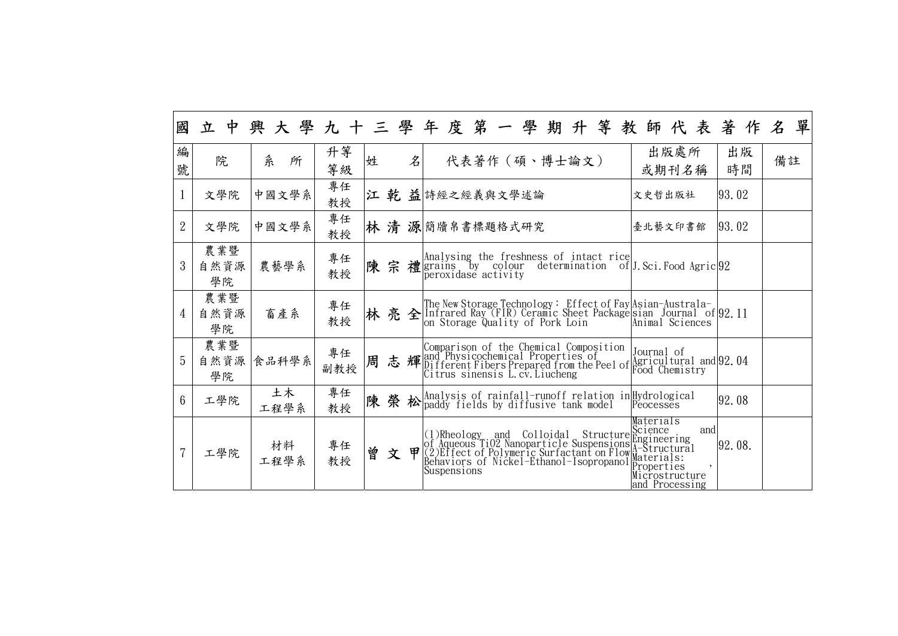| 國              |                   |            |           |   |   |              | 立中興大學九十三學年度第一學期升等教師代表著作名                                                                                                                                                                                                        |                                                      |          | 單  |
|----------------|-------------------|------------|-----------|---|---|--------------|---------------------------------------------------------------------------------------------------------------------------------------------------------------------------------------------------------------------------------|------------------------------------------------------|----------|----|
| 編<br>號         | 院                 | 糸<br>所     | 升等<br>等級  | 姓 |   | $\cancel{z}$ | 代表著作 (碩、博士論文)                                                                                                                                                                                                                   | 出版處所<br>或期刊名稱                                        | 出版<br>時間 | 備註 |
| $\mathbf{1}$   | 文學院               | 中國文學系      | 專任<br>教授  |   |   |              | 江 乾 益 诗經之經義與文學述論                                                                                                                                                                                                                | 文史哲出版社                                               | 93, 02   |    |
| $\overline{2}$ | 文學院               | 中國文學系      | 專任<br>教授  |   |   |              | 林清源簡牘帛書標題格式研究                                                                                                                                                                                                                   | 臺北藝文印書館                                              | 93.02    |    |
| $\mathfrak{Z}$ | 農業暨<br>自然資源<br>學院 | 農藝學系       | 專任<br>教授  |   |   |              | 陳 宗 禮 $\text{grains}$ by colour determination of J. Sci. Food Agric 92                                                                                                                                                          |                                                      |          |    |
| $\overline{4}$ | 農業暨<br>自然資源<br>學院 | 畜產系        | 專任<br>教授  |   |   |              |                                                                                                                                                                                                                                 |                                                      |          |    |
| $\overline{5}$ | 農業暨<br>自然資源<br>學院 | 食品科學系      | 專任<br>副教授 | 周 |   |              | Comparison of the Chemical Composition Journal of<br><b>志 輝</b> and Physicochemical Properties of Agricultural and 92.04<br>Citrus sinensis L.cv.Liucheng                                                                       |                                                      |          |    |
| $6^{\circ}$    | 工學院               | 土木<br>工程學系 | 專任<br>教授  |   |   |              | 陳 榮 松 analysis of rainfall-runoff relation in Hydrological<br>Peocesses                                                                                                                                                         |                                                      | 92.08    |    |
|                | 工學院               | 材料<br>工程學系 | 專任<br>教授  | 曾 | 文 |              | (1)Rheology and Colloidal Structure Science<br>of Aqueous TiO2 Nanoparticle Suspensions Engineering<br>(2)Effect of Polymeric Surfactant on FlowMaterials:<br>Behaviors of Nickel-Ethanol-Isopropanol Properties<br>Suspensions | Materials<br>and<br>Microstructure<br>and Processing | 92.08.   |    |